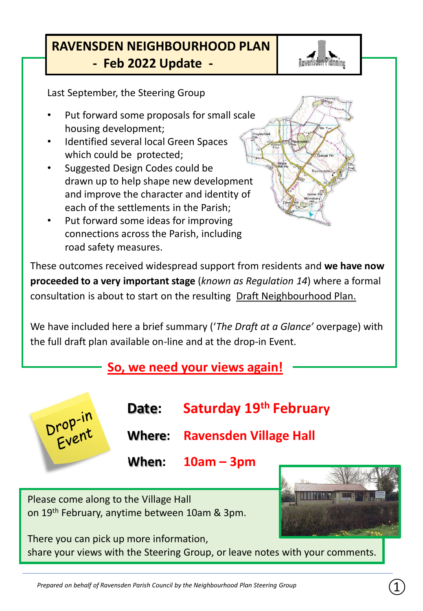### **RAVENSDEN NEIGHBOURHOOD PLAN - Feb 2022 Update -**



Last September, the Steering Group

- Put forward some proposals for small scale housing development;
- Identified several local Green Spaces which could be protected;
- Suggested Design Codes could be drawn up to help shape new development and improve the character and identity of each of the settlements in the Parish;
- Put forward some ideas for improving connections across the Parish, including road safety measures.

These outcomes received widespread support from residents and **we have now proceeded to a very important stage** (*known as Regulation 14*) where a formal consultation is about to start on the resulting Draft Neighbourhood Plan.

We have included here a brief summary ('*The Draft at a Glance'* overpage) with the full draft plan available on-line and at the drop-in Event.

### **So, we need your views again!**

**Date: Saturday 19th February** Drop-in<br>Event **Where: Ravensden Village Hall When: 10am – 3pm** Please come along to the Village Hall on 19th February, anytime between 10am & 3pm.

There you can pick up more information, share your views with the Steering Group, or leave notes with your comments.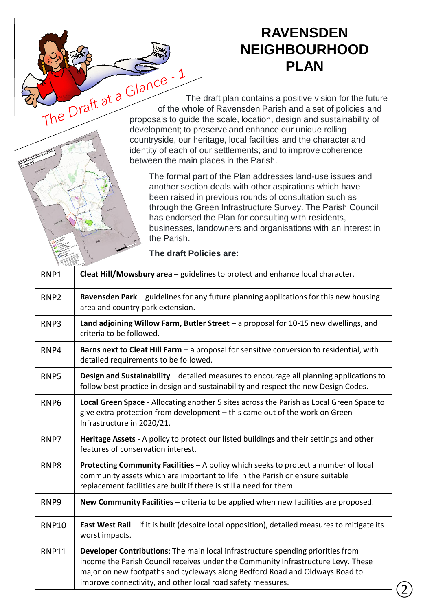# **RAVENSDEN NEIGHBOURHOOD PLAN**

The Draft at a Glance<br>The draft plan contains a positive vision for the future<br>proposals to quide the section of the future of the whole of Ravensden Parish and a set of policies and proposals to guide the scale, location, design and sustainability of development; to preserve and enhance our unique rolling countryside, our heritage, local facilities and the character and identity of each of our settlements; and to improve coherence between the main places in the Parish.

> The formal part of the Plan addresses land-use issues and another section deals with other aspirations which have been raised in previous rounds of consultation such as through the Green Infrastructure Survey. The Parish Council has endorsed the Plan for consulting with residents, businesses, landowners and organisations with an interest in the Parish.

**The draft Policies are**:

| RNP1             | Cleat Hill/Mowsbury area - guidelines to protect and enhance local character.                                                                                                                                                                                                                                      |
|------------------|--------------------------------------------------------------------------------------------------------------------------------------------------------------------------------------------------------------------------------------------------------------------------------------------------------------------|
| RNP <sub>2</sub> | Ravensden Park - guidelines for any future planning applications for this new housing<br>area and country park extension.                                                                                                                                                                                          |
| RNP3             | Land adjoining Willow Farm, Butler Street - a proposal for 10-15 new dwellings, and<br>criteria to be followed.                                                                                                                                                                                                    |
| RNP4             | Barns next to Cleat Hill Farm - a proposal for sensitive conversion to residential, with<br>detailed requirements to be followed.                                                                                                                                                                                  |
| RNP5             | Design and Sustainability - detailed measures to encourage all planning applications to<br>follow best practice in design and sustainability and respect the new Design Codes.                                                                                                                                     |
| RNP <sub>6</sub> | Local Green Space - Allocating another 5 sites across the Parish as Local Green Space to<br>give extra protection from development - this came out of the work on Green<br>Infrastructure in 2020/21.                                                                                                              |
| RNP7             | Heritage Assets - A policy to protect our listed buildings and their settings and other<br>features of conservation interest.                                                                                                                                                                                      |
| RNP8             | Protecting Community Facilities - A policy which seeks to protect a number of local<br>community assets which are important to life in the Parish or ensure suitable<br>replacement facilities are built if there is still a need for them.                                                                        |
| RNP <sub>9</sub> | New Community Facilities - criteria to be applied when new facilities are proposed.                                                                                                                                                                                                                                |
| <b>RNP10</b>     | East West Rail - if it is built (despite local opposition), detailed measures to mitigate its<br>worst impacts.                                                                                                                                                                                                    |
| <b>RNP11</b>     | Developer Contributions: The main local infrastructure spending priorities from<br>income the Parish Council receives under the Community Infrastructure Levy. These<br>major on new footpaths and cycleways along Bedford Road and Oldways Road to<br>improve connectivity, and other local road safety measures. |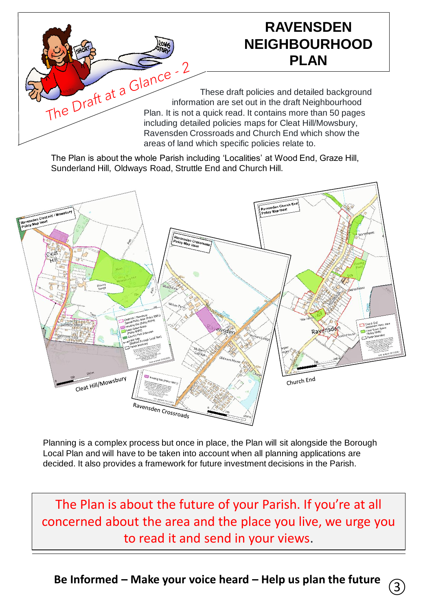# **RAVENSDEN NEIGHBOURHOOD PLAN**

These draft policies and detailed background The Draft at a Charles and detailed background information are set out in the draft Neighbourhood<br>Plan. It is not a quick read it contains Plan. It is not a quick read. It contains more than 50 pages including detailed policies maps for Cleat Hill/Mowsbury, Ravensden Crossroads and Church End which show the areas of land which specific policies relate to.

The Plan is about the whole Parish including 'Localities' at Wood End, Graze Hill, Sunderland Hill, Oldways Road, Struttle End and Church Hill.



Planning is a complex process but once in place, the Plan will sit alongside the Borough Local Plan and will have to be taken into account when all planning applications are decided. It also provides a framework for future investment decisions in the Parish.

The Plan is about the future of your Parish. If you're at all concerned about the area and the place you live, we urge you to read it and send in your views.